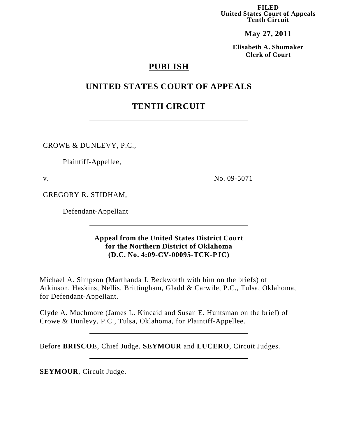**FILED United States Court of Appeals Tenth Circuit**

**May 27, 2011**

**Elisabeth A. Shumaker Clerk of Court**

## **PUBLISH**

## **UNITED STATES COURT OF APPEALS**

# **TENTH CIRCUIT**

CROWE & DUNLEVY, P.C.,

Plaintiff-Appellee,

v.

No. 09-5071

GREGORY R. STIDHAM,

Defendant-Appellant

## **Appeal from the United States District Court for the Northern District of Oklahoma (D.C. No. 4:09-CV-00095-TCK-PJC)**

Michael A. Simpson (Marthanda J. Beckworth with him on the briefs) of Atkinson, Haskins, Nellis, Brittingham, Gladd & Carwile, P.C., Tulsa, Oklahoma, for Defendant-Appellant.

Clyde A. Muchmore (James L. Kincaid and Susan E. Huntsman on the brief) of Crowe & Dunlevy, P.C., Tulsa, Oklahoma, for Plaintiff-Appellee.

Before **BRISCOE**, Chief Judge, **SEYMOUR** and **LUCERO**, Circuit Judges.

**SEYMOUR**, Circuit Judge.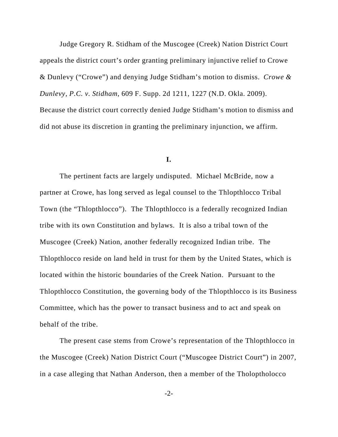Judge Gregory R. Stidham of the Muscogee (Creek) Nation District Court appeals the district court's order granting preliminary injunctive relief to Crowe & Dunlevy ("Crowe") and denying Judge Stidham's motion to dismiss. *Crowe & Dunlevy, P.C. v. Stidham*, 609 F. Supp. 2d 1211, 1227 (N.D. Okla. 2009). Because the district court correctly denied Judge Stidham's motion to dismiss and did not abuse its discretion in granting the preliminary injunction, we affirm.

### **I.**

The pertinent facts are largely undisputed. Michael McBride, now a partner at Crowe, has long served as legal counsel to the Thlopthlocco Tribal Town (the "Thlopthlocco"). The Thlopthlocco is a federally recognized Indian tribe with its own Constitution and bylaws. It is also a tribal town of the Muscogee (Creek) Nation, another federally recognized Indian tribe. The Thlopthlocco reside on land held in trust for them by the United States, which is located within the historic boundaries of the Creek Nation. Pursuant to the Thlopthlocco Constitution, the governing body of the Thlopthlocco is its Business Committee, which has the power to transact business and to act and speak on behalf of the tribe.

The present case stems from Crowe's representation of the Thlopthlocco in the Muscogee (Creek) Nation District Court ("Muscogee District Court") in 2007, in a case alleging that Nathan Anderson, then a member of the Tholoptholocco

-2-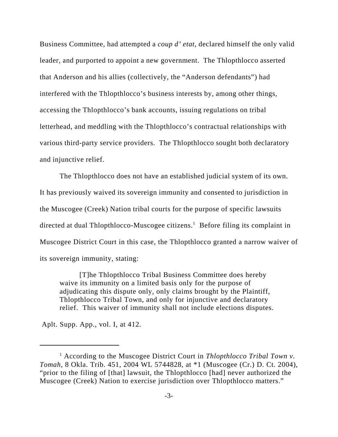Business Committee, had attempted a *coup d' etat*, declared himself the only valid leader, and purported to appoint a new government. The Thlopthlocco asserted that Anderson and his allies (collectively, the "Anderson defendants") had interfered with the Thlopthlocco's business interests by, among other things, accessing the Thlopthlocco's bank accounts, issuing regulations on tribal letterhead, and meddling with the Thlopthlocco's contractual relationships with various third-party service providers. The Thlopthlocco sought both declaratory and injunctive relief.

 The Thlopthlocco does not have an established judicial system of its own. It has previously waived its sovereign immunity and consented to jurisdiction in the Muscogee (Creek) Nation tribal courts for the purpose of specific lawsuits directed at dual Thlopthlocco-Muscogee citizens.<sup>1</sup> Before filing its complaint in Muscogee District Court in this case, the Thlopthlocco granted a narrow waiver of its sovereign immunity, stating:

[T]he Thlopthlocco Tribal Business Committee does hereby waive its immunity on a limited basis only for the purpose of adjudicating this dispute only, only claims brought by the Plaintiff, Thlopthlocco Tribal Town, and only for injunctive and declaratory relief. This waiver of immunity shall not include elections disputes.

Aplt. Supp. App., vol. I, at 412.

<sup>&</sup>lt;sup>1</sup> According to the Muscogee District Court in *Thlopthlocco Tribal Town v*. *Tomah*, 8 Okla. Trib. 451, 2004 WL 5744828, at \*1 (Muscogee (Cr.) D. Ct. 2004), "prior to the filing of [that] lawsuit, the Thlopthlocco [had] never authorized the Muscogee (Creek) Nation to exercise jurisdiction over Thlopthlocco matters."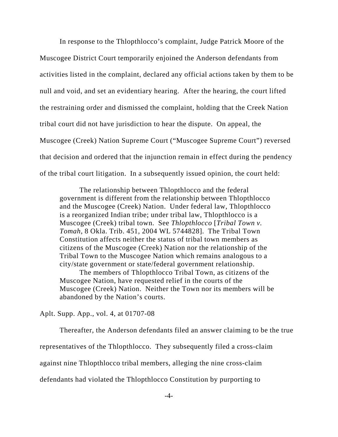In response to the Thlopthlocco's complaint, Judge Patrick Moore of the Muscogee District Court temporarily enjoined the Anderson defendants from activities listed in the complaint, declared any official actions taken by them to be null and void, and set an evidentiary hearing. After the hearing, the court lifted the restraining order and dismissed the complaint, holding that the Creek Nation tribal court did not have jurisdiction to hear the dispute. On appeal, the Muscogee (Creek) Nation Supreme Court ("Muscogee Supreme Court") reversed that decision and ordered that the injunction remain in effect during the pendency of the tribal court litigation. In a subsequently issued opinion, the court held:

The relationship between Thlopthlocco and the federal government is different from the relationship between Thlopthlocco and the Muscogee (Creek) Nation. Under federal law, Thlopthlocco is a reorganized Indian tribe; under tribal law, Thlopthlocco is a Muscogee (Creek) tribal town. See *Thlopthlocco* [*Tribal Town v. Tomah*, 8 Okla. Trib. 451, 2004 WL 5744828]. The Tribal Town Constitution affects neither the status of tribal town members as citizens of the Muscogee (Creek) Nation nor the relationship of the Tribal Town to the Muscogee Nation which remains analogous to a city/state government or state/federal government relationship.

The members of Thlopthlocco Tribal Town, as citizens of the Muscogee Nation, have requested relief in the courts of the Muscogee (Creek) Nation. Neither the Town nor its members will be abandoned by the Nation's courts.

Aplt. Supp. App., vol. 4, at 01707-08

Thereafter, the Anderson defendants filed an answer claiming to be the true representatives of the Thlopthlocco. They subsequently filed a cross-claim against nine Thlopthlocco tribal members, alleging the nine cross-claim defendants had violated the Thlopthlocco Constitution by purporting to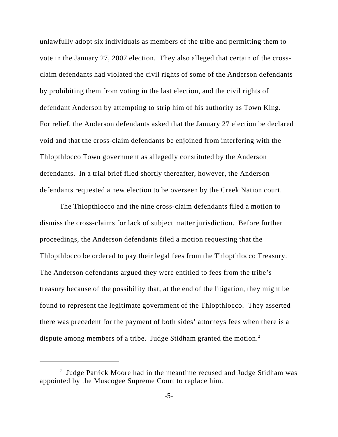unlawfully adopt six individuals as members of the tribe and permitting them to vote in the January 27, 2007 election. They also alleged that certain of the crossclaim defendants had violated the civil rights of some of the Anderson defendants by prohibiting them from voting in the last election, and the civil rights of defendant Anderson by attempting to strip him of his authority as Town King. For relief, the Anderson defendants asked that the January 27 election be declared void and that the cross-claim defendants be enjoined from interfering with the Thlopthlocco Town government as allegedly constituted by the Anderson defendants. In a trial brief filed shortly thereafter, however, the Anderson defendants requested a new election to be overseen by the Creek Nation court.

The Thlopthlocco and the nine cross-claim defendants filed a motion to dismiss the cross-claims for lack of subject matter jurisdiction. Before further proceedings, the Anderson defendants filed a motion requesting that the Thlopthlocco be ordered to pay their legal fees from the Thlopthlocco Treasury. The Anderson defendants argued they were entitled to fees from the tribe's treasury because of the possibility that, at the end of the litigation, they might be found to represent the legitimate government of the Thlopthlocco. They asserted there was precedent for the payment of both sides' attorneys fees when there is a dispute among members of a tribe. Judge Stidham granted the motion.<sup>2</sup>

<sup>&</sup>lt;sup>2</sup> Judge Patrick Moore had in the meantime recused and Judge Stidham was appointed by the Muscogee Supreme Court to replace him.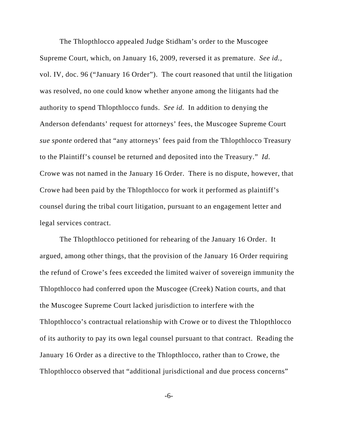The Thlopthlocco appealed Judge Stidham's order to the Muscogee Supreme Court, which, on January 16, 2009, reversed it as premature. *See id.*, vol. IV, doc. 96 ("January 16 Order"). The court reasoned that until the litigation was resolved, no one could know whether anyone among the litigants had the authority to spend Thlopthlocco funds. *See id.* In addition to denying the Anderson defendants' request for attorneys' fees, the Muscogee Supreme Court *sue sponte* ordered that "any attorneys' fees paid from the Thlopthlocco Treasury to the Plaintiff's counsel be returned and deposited into the Treasury." *Id*. Crowe was not named in the January 16 Order. There is no dispute, however, that Crowe had been paid by the Thlopthlocco for work it performed as plaintiff's counsel during the tribal court litigation, pursuant to an engagement letter and legal services contract.

The Thlopthlocco petitioned for rehearing of the January 16 Order. It argued, among other things, that the provision of the January 16 Order requiring the refund of Crowe's fees exceeded the limited waiver of sovereign immunity the Thlopthlocco had conferred upon the Muscogee (Creek) Nation courts, and that the Muscogee Supreme Court lacked jurisdiction to interfere with the Thlopthlocco's contractual relationship with Crowe or to divest the Thlopthlocco of its authority to pay its own legal counsel pursuant to that contract. Reading the January 16 Order as a directive to the Thlopthlocco, rather than to Crowe, the Thlopthlocco observed that "additional jurisdictional and due process concerns"

-6-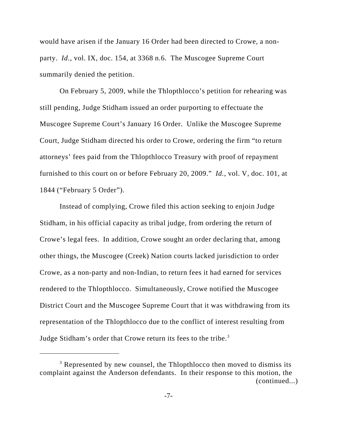would have arisen if the January 16 Order had been directed to Crowe, a nonparty. *Id.*, vol. IX, doc. 154, at 3368 n.6. The Muscogee Supreme Court summarily denied the petition.

On February 5, 2009, while the Thlopthlocco's petition for rehearing was still pending, Judge Stidham issued an order purporting to effectuate the Muscogee Supreme Court's January 16 Order. Unlike the Muscogee Supreme Court, Judge Stidham directed his order to Crowe, ordering the firm "to return attorneys' fees paid from the Thlopthlocco Treasury with proof of repayment furnished to this court on or before February 20, 2009." *Id.*, vol. V, doc. 101, at 1844 ("February 5 Order").

Instead of complying, Crowe filed this action seeking to enjoin Judge Stidham, in his official capacity as tribal judge, from ordering the return of Crowe's legal fees. In addition, Crowe sought an order declaring that, among other things, the Muscogee (Creek) Nation courts lacked jurisdiction to order Crowe, as a non-party and non-Indian, to return fees it had earned for services rendered to the Thlopthlocco. Simultaneously, Crowe notified the Muscogee District Court and the Muscogee Supreme Court that it was withdrawing from its representation of the Thlopthlocco due to the conflict of interest resulting from Judge Stidham's order that Crowe return its fees to the tribe.<sup>3</sup>

<sup>&</sup>lt;sup>3</sup> Represented by new counsel, the Thlopthlocco then moved to dismiss its complaint against the Anderson defendants. In their response to this motion, the (continued...)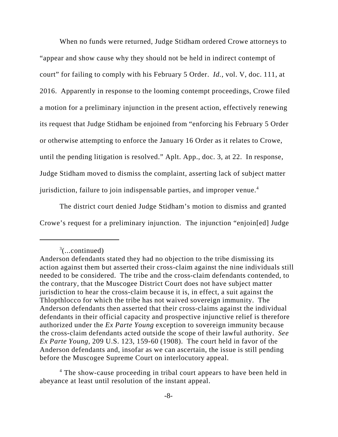When no funds were returned, Judge Stidham ordered Crowe attorneys to "appear and show cause why they should not be held in indirect contempt of court" for failing to comply with his February 5 Order. *Id.*, vol. V, doc. 111, at 2016. Apparently in response to the looming contempt proceedings, Crowe filed a motion for a preliminary injunction in the present action, effectively renewing its request that Judge Stidham be enjoined from "enforcing his February 5 Order or otherwise attempting to enforce the January 16 Order as it relates to Crowe, until the pending litigation is resolved." Aplt. App., doc. 3, at 22. In response, Judge Stidham moved to dismiss the complaint, asserting lack of subject matter jurisdiction, failure to join indispensable parties, and improper venue.<sup>4</sup>

 The district court denied Judge Stidham's motion to dismiss and granted Crowe's request for a preliminary injunction. The injunction "enjoin[ed] Judge

<sup>4</sup> The show-cause proceeding in tribal court appears to have been held in abeyance at least until resolution of the instant appeal.

 $3$ (...continued)

Anderson defendants stated they had no objection to the tribe dismissing its action against them but asserted their cross-claim against the nine individuals still needed to be considered. The tribe and the cross-claim defendants contended, to the contrary, that the Muscogee District Court does not have subject matter jurisdiction to hear the cross-claim because it is, in effect, a suit against the Thlopthlocco for which the tribe has not waived sovereign immunity. The Anderson defendants then asserted that their cross-claims against the individual defendants in their official capacity and prospective injunctive relief is therefore authorized under the *Ex Parte Young* exception to sovereign immunity because the cross-claim defendants acted outside the scope of their lawful authority. *See Ex Parte Young*, 209 U.S. 123, 159-60 (1908). The court held in favor of the Anderson defendants and, insofar as we can ascertain, the issue is still pending before the Muscogee Supreme Court on interlocutory appeal.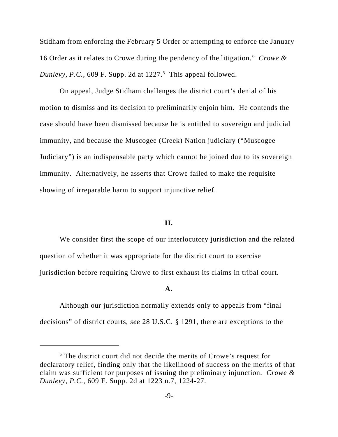Stidham from enforcing the February 5 Order or attempting to enforce the January 16 Order as it relates to Crowe during the pendency of the litigation." *Crowe &* Dunlevy, P.C., 609 F. Supp. 2d at  $1227$ <sup>5</sup> This appeal followed.

On appeal, Judge Stidham challenges the district court's denial of his motion to dismiss and its decision to preliminarily enjoin him. He contends the case should have been dismissed because he is entitled to sovereign and judicial immunity, and because the Muscogee (Creek) Nation judiciary ("Muscogee Judiciary") is an indispensable party which cannot be joined due to its sovereign immunity. Alternatively, he asserts that Crowe failed to make the requisite showing of irreparable harm to support injunctive relief.

### **II.**

We consider first the scope of our interlocutory jurisdiction and the related question of whether it was appropriate for the district court to exercise jurisdiction before requiring Crowe to first exhaust its claims in tribal court.

## **A.**

Although our jurisdiction normally extends only to appeals from "final decisions" of district courts, *see* 28 U.S.C. § 1291, there are exceptions to the

<sup>&</sup>lt;sup>5</sup> The district court did not decide the merits of Crowe's request for declaratory relief, finding only that the likelihood of success on the merits of that claim was sufficient for purposes of issuing the preliminary injunction. *Crowe & Dunlevy, P.C.*, 609 F. Supp. 2d at 1223 n.7, 1224-27.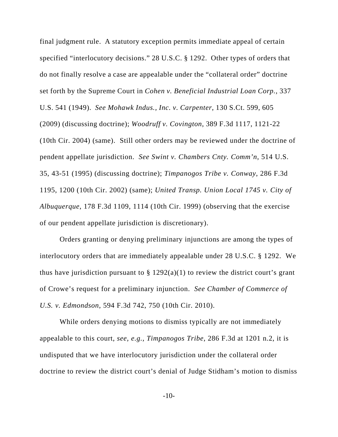final judgment rule. A statutory exception permits immediate appeal of certain specified "interlocutory decisions." 28 U.S.C. § 1292. Other types of orders that do not finally resolve a case are appealable under the "collateral order" doctrine set forth by the Supreme Court in *Cohen v. Beneficial Industrial Loan Corp.*, 337 U.S. 541 (1949). *See Mohawk Indus., Inc. v. Carpenter*, 130 S.Ct. 599, 605 (2009) (discussing doctrine); *Woodruff v. Covington*, 389 F.3d 1117, 1121-22 (10th Cir. 2004) (same). Still other orders may be reviewed under the doctrine of pendent appellate jurisdiction. *See Swint v. Chambers Cnty. Comm'n*, 514 U.S. 35, 43-51 (1995) (discussing doctrine); *Timpanogos Tribe v. Conway*, 286 F.3d 1195, 1200 (10th Cir. 2002) (same); *United Transp. Union Local 1745 v. City of Albuquerque*, 178 F.3d 1109, 1114 (10th Cir. 1999) (observing that the exercise of our pendent appellate jurisdiction is discretionary).

Orders granting or denying preliminary injunctions are among the types of interlocutory orders that are immediately appealable under 28 U.S.C. § 1292. We thus have jurisdiction pursuant to  $\S 1292(a)(1)$  to review the district court's grant of Crowe's request for a preliminary injunction. *See Chamber of Commerce of U.S. v. Edmondson*, 594 F.3d 742, 750 (10th Cir. 2010).

While orders denying motions to dismiss typically are not immediately appealable to this court, *see, e.g.*, *Timpanogos Tribe*, 286 F.3d at 1201 n.2, it is undisputed that we have interlocutory jurisdiction under the collateral order doctrine to review the district court's denial of Judge Stidham's motion to dismiss

-10-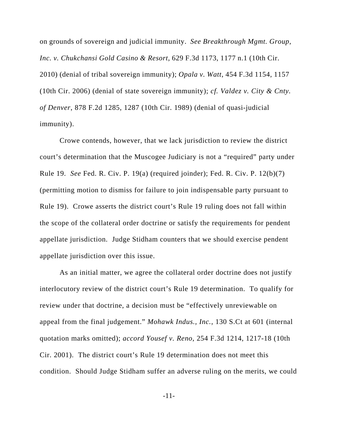on grounds of sovereign and judicial immunity. *See Breakthrough Mgmt. Group, Inc. v. Chukchansi Gold Casino & Resort*, 629 F.3d 1173, 1177 n.1 (10th Cir. 2010) (denial of tribal sovereign immunity); *Opala v. Watt*, 454 F.3d 1154, 1157 (10th Cir. 2006) (denial of state sovereign immunity); *cf. Valdez v. City & Cnty. of Denver*, 878 F.2d 1285, 1287 (10th Cir. 1989) (denial of quasi-judicial immunity).

Crowe contends, however, that we lack jurisdiction to review the district court's determination that the Muscogee Judiciary is not a "required" party under Rule 19. *See* Fed. R. Civ. P. 19(a) (required joinder); Fed. R. Civ. P. 12(b)(7) (permitting motion to dismiss for failure to join indispensable party pursuant to Rule 19). Crowe asserts the district court's Rule 19 ruling does not fall within the scope of the collateral order doctrine or satisfy the requirements for pendent appellate jurisdiction. Judge Stidham counters that we should exercise pendent appellate jurisdiction over this issue.

As an initial matter, we agree the collateral order doctrine does not justify interlocutory review of the district court's Rule 19 determination. To qualify for review under that doctrine, a decision must be "effectively unreviewable on appeal from the final judgement." *Mohawk Indus., Inc.*, 130 S.Ct at 601 (internal quotation marks omitted); *accord Yousef v. Reno*, 254 F.3d 1214, 1217-18 (10th Cir. 2001). The district court's Rule 19 determination does not meet this condition. Should Judge Stidham suffer an adverse ruling on the merits, we could

-11-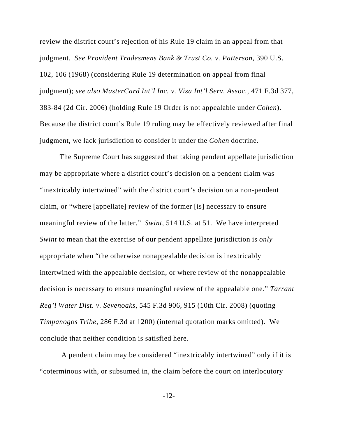review the district court's rejection of his Rule 19 claim in an appeal from that judgment. *See Provident Tradesmens Bank & Trust Co. v. Patterson*, 390 U.S. 102, 106 (1968) (considering Rule 19 determination on appeal from final judgment); *see also MasterCard Int'l Inc. v. Visa Int'l Serv. Assoc.*, 471 F.3d 377, 383-84 (2d Cir. 2006) (holding Rule 19 Order is not appealable under *Cohen*). Because the district court's Rule 19 ruling may be effectively reviewed after final judgment, we lack jurisdiction to consider it under the *Cohen* doctrine.

The Supreme Court has suggested that taking pendent appellate jurisdiction may be appropriate where a district court's decision on a pendent claim was "inextricably intertwined" with the district court's decision on a non-pendent claim, or "where [appellate] review of the former [is] necessary to ensure meaningful review of the latter." *Swint*, 514 U.S. at 51. We have interpreted *Swint* to mean that the exercise of our pendent appellate jurisdiction is *only* appropriate when "the otherwise nonappealable decision is inextricably intertwined with the appealable decision, or where review of the nonappealable decision is necessary to ensure meaningful review of the appealable one." *Tarrant Reg'l Water Dist. v. Sevenoaks*, 545 F.3d 906, 915 (10th Cir. 2008) (quoting *Timpanogos Tribe*, 286 F.3d at 1200) (internal quotation marks omitted). We conclude that neither condition is satisfied here.

 A pendent claim may be considered "inextricably intertwined" only if it is "coterminous with, or subsumed in, the claim before the court on interlocutory

-12-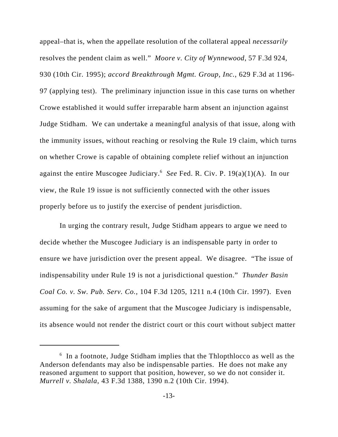appeal–that is, when the appellate resolution of the collateral appeal *necessarily* resolves the pendent claim as well." *Moore v. City of Wynnewood*, 57 F.3d 924, 930 (10th Cir. 1995); *accord Breakthrough Mgmt. Group, Inc.*, 629 F.3d at 1196- 97 (applying test). The preliminary injunction issue in this case turns on whether Crowe established it would suffer irreparable harm absent an injunction against Judge Stidham. We can undertake a meaningful analysis of that issue, along with the immunity issues, without reaching or resolving the Rule 19 claim, which turns on whether Crowe is capable of obtaining complete relief without an injunction against the entire Muscogee Judiciary.<sup>6</sup> See Fed. R. Civ. P. 19(a)(1)(A). In our view, the Rule 19 issue is not sufficiently connected with the other issues properly before us to justify the exercise of pendent jurisdiction.

In urging the contrary result, Judge Stidham appears to argue we need to decide whether the Muscogee Judiciary is an indispensable party in order to ensure we have jurisdiction over the present appeal. We disagree. "The issue of indispensability under Rule 19 is not a jurisdictional question." *Thunder Basin Coal Co. v. Sw. Pub. Serv. Co.*, 104 F.3d 1205, 1211 n.4 (10th Cir. 1997). Even assuming for the sake of argument that the Muscogee Judiciary is indispensable, its absence would not render the district court or this court without subject matter

<sup>&</sup>lt;sup>6</sup> In a footnote, Judge Stidham implies that the Thlopthlocco as well as the Anderson defendants may also be indispensable parties. He does not make any reasoned argument to support that position, however, so we do not consider it. *Murrell v. Shalala*, 43 F.3d 1388, 1390 n.2 (10th Cir. 1994).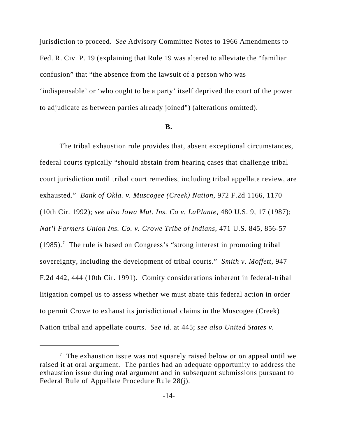jurisdiction to proceed. *See* Advisory Committee Notes to 1966 Amendments to Fed. R. Civ. P. 19 (explaining that Rule 19 was altered to alleviate the "familiar confusion" that "the absence from the lawsuit of a person who was 'indispensable' or 'who ought to be a party' itself deprived the court of the power to adjudicate as between parties already joined") (alterations omitted).

### **B.**

The tribal exhaustion rule provides that, absent exceptional circumstances, federal courts typically "should abstain from hearing cases that challenge tribal court jurisdiction until tribal court remedies, including tribal appellate review, are exhausted." *Bank of Okla. v. Muscogee (Creek) Nation*, 972 F.2d 1166, 1170 (10th Cir. 1992); *see also Iowa Mut. Ins. Co v. LaPlante*, 480 U.S. 9, 17 (1987); *Nat'l Farmers Union Ins. Co. v. Crowe Tribe of Indians*, 471 U.S. 845, 856-57  $(1985)$ .<sup>7</sup> The rule is based on Congress's "strong interest in promoting tribal sovereignty, including the development of tribal courts." *Smith v. Moffett*, 947 F.2d 442, 444 (10th Cir. 1991). Comity considerations inherent in federal-tribal litigation compel us to assess whether we must abate this federal action in order to permit Crowe to exhaust its jurisdictional claims in the Muscogee (Creek) Nation tribal and appellate courts. *See id.* at 445; *see also United States v.*

 $\frac{7}{1}$  The exhaustion issue was not squarely raised below or on appeal until we raised it at oral argument. The parties had an adequate opportunity to address the exhaustion issue during oral argument and in subsequent submissions pursuant to Federal Rule of Appellate Procedure Rule 28(j).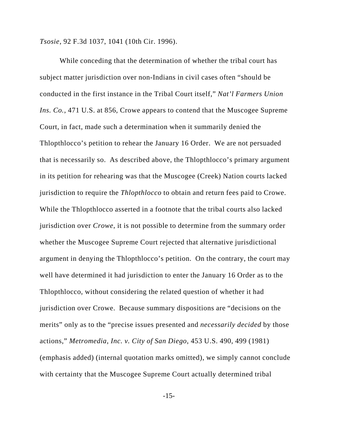*Tsosie*, 92 F.3d 1037, 1041 (10th Cir. 1996).

While conceding that the determination of whether the tribal court has subject matter jurisdiction over non-Indians in civil cases often "should be conducted in the first instance in the Tribal Court itself," *Nat'l Farmers Union Ins. Co.*, 471 U.S. at 856, Crowe appears to contend that the Muscogee Supreme Court, in fact, made such a determination when it summarily denied the Thlopthlocco's petition to rehear the January 16 Order. We are not persuaded that is necessarily so. As described above, the Thlopthlocco's primary argument in its petition for rehearing was that the Muscogee (Creek) Nation courts lacked jurisdiction to require the *Thlopthlocco* to obtain and return fees paid to Crowe. While the Thlopthlocco asserted in a footnote that the tribal courts also lacked jurisdiction over *Crowe*, it is not possible to determine from the summary order whether the Muscogee Supreme Court rejected that alternative jurisdictional argument in denying the Thlopthlocco's petition. On the contrary, the court may well have determined it had jurisdiction to enter the January 16 Order as to the Thlopthlocco, without considering the related question of whether it had jurisdiction over Crowe. Because summary dispositions are "decisions on the merits" only as to the "precise issues presented and *necessarily decided* by those actions," *Metromedia, Inc. v. City of San Diego*, 453 U.S. 490, 499 (1981) (emphasis added) (internal quotation marks omitted), we simply cannot conclude with certainty that the Muscogee Supreme Court actually determined tribal

-15-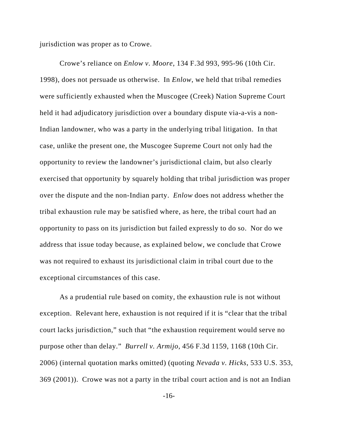jurisdiction was proper as to Crowe.

Crowe's reliance on *Enlow v. Moore*, 134 F.3d 993, 995-96 (10th Cir. 1998), does not persuade us otherwise. In *Enlow*, we held that tribal remedies were sufficiently exhausted when the Muscogee (Creek) Nation Supreme Court held it had adjudicatory jurisdiction over a boundary dispute via-a-vis a non-Indian landowner, who was a party in the underlying tribal litigation. In that case, unlike the present one, the Muscogee Supreme Court not only had the opportunity to review the landowner's jurisdictional claim, but also clearly exercised that opportunity by squarely holding that tribal jurisdiction was proper over the dispute and the non-Indian party. *Enlow* does not address whether the tribal exhaustion rule may be satisfied where, as here, the tribal court had an opportunity to pass on its jurisdiction but failed expressly to do so. Nor do we address that issue today because, as explained below, we conclude that Crowe was not required to exhaust its jurisdictional claim in tribal court due to the exceptional circumstances of this case.

As a prudential rule based on comity, the exhaustion rule is not without exception. Relevant here, exhaustion is not required if it is "clear that the tribal court lacks jurisdiction," such that "the exhaustion requirement would serve no purpose other than delay." *Burrell v. Armijo*, 456 F.3d 1159, 1168 (10th Cir. 2006) (internal quotation marks omitted) (quoting *Nevada v. Hicks*, 533 U.S. 353, 369 (2001)). Crowe was not a party in the tribal court action and is not an Indian

-16-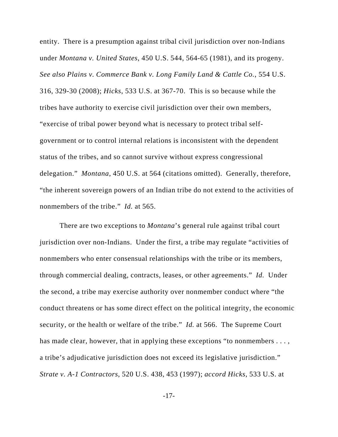entity. There is a presumption against tribal civil jurisdiction over non-Indians under *Montana v. United States*, 450 U.S. 544, 564-65 (1981), and its progeny. *See also Plains v. Commerce Bank v. Long Family Land & Cattle Co.*, 554 U.S. 316, 329-30 (2008); *Hicks*, 533 U.S. at 367-70. This is so because while the tribes have authority to exercise civil jurisdiction over their own members, "exercise of tribal power beyond what is necessary to protect tribal selfgovernment or to control internal relations is inconsistent with the dependent status of the tribes, and so cannot survive without express congressional delegation." *Montana*, 450 U.S. at 564 (citations omitted). Generally, therefore, "the inherent sovereign powers of an Indian tribe do not extend to the activities of nonmembers of the tribe." *Id.* at 565.

There are two exceptions to *Montana*'s general rule against tribal court jurisdiction over non-Indians. Under the first, a tribe may regulate "activities of nonmembers who enter consensual relationships with the tribe or its members, through commercial dealing, contracts, leases, or other agreements." *Id.* Under the second, a tribe may exercise authority over nonmember conduct where "the conduct threatens or has some direct effect on the political integrity, the economic security, or the health or welfare of the tribe." *Id.* at 566. The Supreme Court has made clear, however, that in applying these exceptions "to nonmembers . . . , a tribe's adjudicative jurisdiction does not exceed its legislative jurisdiction." *Strate v. A-1 Contractors*, 520 U.S. 438, 453 (1997); *accord Hicks*, 533 U.S. at

-17-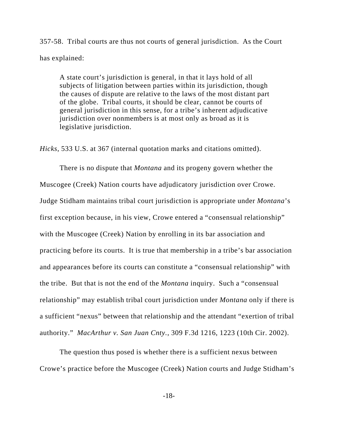357-58. Tribal courts are thus not courts of general jurisdiction. As the Court has explained:

A state court's jurisdiction is general, in that it lays hold of all subjects of litigation between parties within its jurisdiction, though the causes of dispute are relative to the laws of the most distant part of the globe. Tribal courts, it should be clear, cannot be courts of general jurisdiction in this sense, for a tribe's inherent adjudicative jurisdiction over nonmembers is at most only as broad as it is legislative jurisdiction.

*Hicks*, 533 U.S. at 367 (internal quotation marks and citations omitted).

There is no dispute that *Montana* and its progeny govern whether the Muscogee (Creek) Nation courts have adjudicatory jurisdiction over Crowe. Judge Stidham maintains tribal court jurisdiction is appropriate under *Montana*'s first exception because, in his view, Crowe entered a "consensual relationship" with the Muscogee (Creek) Nation by enrolling in its bar association and practicing before its courts. It is true that membership in a tribe's bar association and appearances before its courts can constitute a "consensual relationship" with the tribe. But that is not the end of the *Montana* inquiry. Such a "consensual relationship" may establish tribal court jurisdiction under *Montana* only if there is a sufficient "nexus" between that relationship and the attendant "exertion of tribal authority." *MacArthur v. San Juan Cnty.*, 309 F.3d 1216, 1223 (10th Cir. 2002).

The question thus posed is whether there is a sufficient nexus between Crowe's practice before the Muscogee (Creek) Nation courts and Judge Stidham's

-18-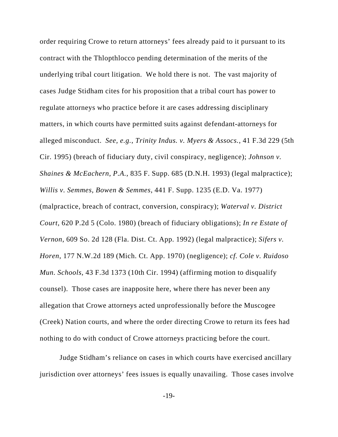order requiring Crowe to return attorneys' fees already paid to it pursuant to its contract with the Thlopthlocco pending determination of the merits of the underlying tribal court litigation. We hold there is not. The vast majority of cases Judge Stidham cites for his proposition that a tribal court has power to regulate attorneys who practice before it are cases addressing disciplinary matters, in which courts have permitted suits against defendant-attorneys for alleged misconduct. *See, e.g.*, *Trinity Indus. v. Myers & Assocs.*, 41 F.3d 229 (5th Cir. 1995) (breach of fiduciary duty, civil conspiracy, negligence); *Johnson v. Shaines & McEachern, P.A.*, 835 F. Supp. 685 (D.N.H. 1993) (legal malpractice); *Willis v. Semmes, Bowen & Semmes*, 441 F. Supp. 1235 (E.D. Va. 1977) (malpractice, breach of contract, conversion, conspiracy); *Waterval v. District Court*, 620 P.2d 5 (Colo. 1980) (breach of fiduciary obligations); *In re Estate of Vernon*, 609 So. 2d 128 (Fla. Dist. Ct. App. 1992) (legal malpractice); *Sifers v. Horen*, 177 N.W.2d 189 (Mich. Ct. App. 1970) (negligence); *cf. Cole v. Ruidoso Mun. Schools*, 43 F.3d 1373 (10th Cir. 1994) (affirming motion to disqualify counsel). Those cases are inapposite here, where there has never been any allegation that Crowe attorneys acted unprofessionally before the Muscogee (Creek) Nation courts, and where the order directing Crowe to return its fees had nothing to do with conduct of Crowe attorneys practicing before the court.

Judge Stidham's reliance on cases in which courts have exercised ancillary jurisdiction over attorneys' fees issues is equally unavailing. Those cases involve

-19-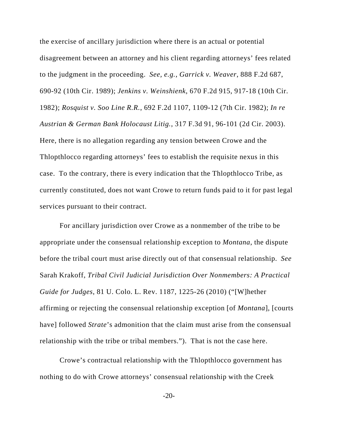the exercise of ancillary jurisdiction where there is an actual or potential disagreement between an attorney and his client regarding attorneys' fees related to the judgment in the proceeding. *See, e.g.*, *Garrick v. Weaver*, 888 F.2d 687, 690-92 (10th Cir. 1989); *Jenkins v. Weinshienk*, 670 F.2d 915, 917-18 (10th Cir. 1982); *Rosquist v. Soo Line R.R.*, 692 F.2d 1107, 1109-12 (7th Cir. 1982); *In re Austrian & German Bank Holocaust Litig.*, 317 F.3d 91, 96-101 (2d Cir. 2003). Here, there is no allegation regarding any tension between Crowe and the Thlopthlocco regarding attorneys' fees to establish the requisite nexus in this case. To the contrary, there is every indication that the Thlopthlocco Tribe, as currently constituted, does not want Crowe to return funds paid to it for past legal services pursuant to their contract.

For ancillary jurisdiction over Crowe as a nonmember of the tribe to be appropriate under the consensual relationship exception to *Montana*, the dispute before the tribal court must arise directly out of that consensual relationship. *See* Sarah Krakoff, *Tribal Civil Judicial Jurisdiction Over Nonmembers: A Practical Guide for Judges*, 81 U. Colo. L. Rev. 1187, 1225-26 (2010) ("[W]hether affirming or rejecting the consensual relationship exception [of *Montana*], [courts have] followed *Strate*'s admonition that the claim must arise from the consensual relationship with the tribe or tribal members."). That is not the case here.

Crowe's contractual relationship with the Thlopthlocco government has nothing to do with Crowe attorneys' consensual relationship with the Creek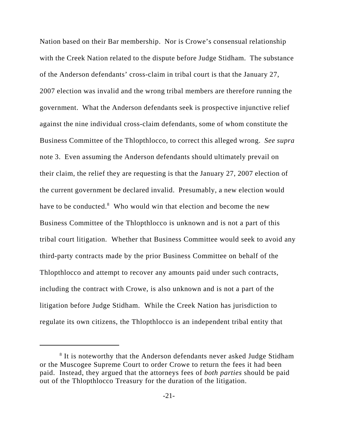Nation based on their Bar membership. Nor is Crowe's consensual relationship with the Creek Nation related to the dispute before Judge Stidham. The substance of the Anderson defendants' cross-claim in tribal court is that the January 27, 2007 election was invalid and the wrong tribal members are therefore running the government. What the Anderson defendants seek is prospective injunctive relief against the nine individual cross-claim defendants, some of whom constitute the Business Committee of the Thlopthlocco, to correct this alleged wrong. *See supra* note 3. Even assuming the Anderson defendants should ultimately prevail on their claim, the relief they are requesting is that the January 27, 2007 election of the current government be declared invalid. Presumably, a new election would have to be conducted.<sup>8</sup> Who would win that election and become the new Business Committee of the Thlopthlocco is unknown and is not a part of this tribal court litigation. Whether that Business Committee would seek to avoid any third-party contracts made by the prior Business Committee on behalf of the Thlopthlocco and attempt to recover any amounts paid under such contracts, including the contract with Crowe, is also unknown and is not a part of the litigation before Judge Stidham. While the Creek Nation has jurisdiction to regulate its own citizens, the Thlopthlocco is an independent tribal entity that

<sup>&</sup>lt;sup>8</sup> It is noteworthy that the Anderson defendants never asked Judge Stidham or the Muscogee Supreme Court to order Crowe to return the fees it had been paid. Instead, they argued that the attorneys fees of *both parties* should be paid out of the Thlopthlocco Treasury for the duration of the litigation.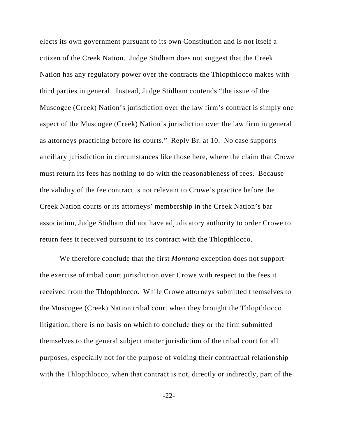elects its own government pursuant to its own Constitution and is not itself a citizen of the Creek Nation. Judge Stidham does not suggest that the Creek Nation has any regulatory power over the contracts the Thlopthlocco makes with third parties in general. Instead, Judge Stidham contends "the issue of the Muscogee (Creek) Nation's jurisdiction over the law firm's contract is simply one aspect of the Muscogee (Creek) Nation's jurisdiction over the law firm in general as attorneys practicing before its courts." Reply Br. at 10. No case supports ancillary jurisdiction in circumstances like those here, where the claim that Crowe must return its fees has nothing to do with the reasonableness of fees. Because the validity of the fee contract is not relevant to Crowe's practice before the Creek Nation courts or its attorneys' membership in the Creek Nation's bar association, Judge Stidham did not have adjudicatory authority to order Crowe to return fees it received pursuant to its contract with the Thlopthlocco.

We therefore conclude that the first *Montana* exception does not support the exercise of tribal court jurisdiction over Crowe with respect to the fees it received from the Thlopthlocco. While Crowe attorneys submitted themselves to the Muscogee (Creek) Nation tribal court when they brought the Thlopthlocco litigation, there is no basis on which to conclude they or the firm submitted themselves to the general subject matter jurisdiction of the tribal court for all purposes, especially not for the purpose of voiding their contractual relationship with the Thlopthlocco, when that contract is not, directly or indirectly, part of the

-22-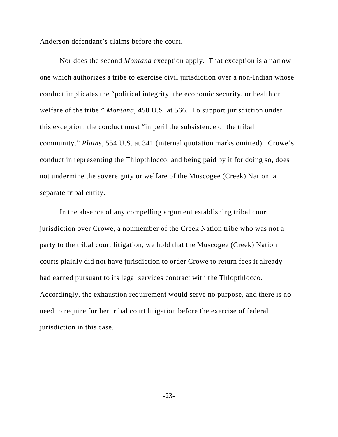Anderson defendant's claims before the court.

Nor does the second *Montana* exception apply. That exception is a narrow one which authorizes a tribe to exercise civil jurisdiction over a non-Indian whose conduct implicates the "political integrity, the economic security, or health or welfare of the tribe." *Montana*, 450 U.S. at 566. To support jurisdiction under this exception, the conduct must "imperil the subsistence of the tribal community." *Plains*, 554 U.S. at 341 (internal quotation marks omitted). Crowe's conduct in representing the Thlopthlocco, and being paid by it for doing so, does not undermine the sovereignty or welfare of the Muscogee (Creek) Nation, a separate tribal entity.

In the absence of any compelling argument establishing tribal court jurisdiction over Crowe, a nonmember of the Creek Nation tribe who was not a party to the tribal court litigation, we hold that the Muscogee (Creek) Nation courts plainly did not have jurisdiction to order Crowe to return fees it already had earned pursuant to its legal services contract with the Thlopthlocco. Accordingly, the exhaustion requirement would serve no purpose, and there is no need to require further tribal court litigation before the exercise of federal jurisdiction in this case.

-23-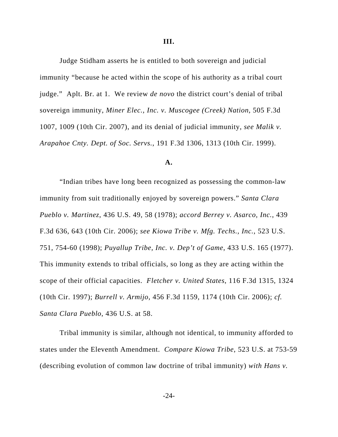Judge Stidham asserts he is entitled to both sovereign and judicial immunity "because he acted within the scope of his authority as a tribal court judge." Aplt. Br. at 1. We review *de novo* the district court's denial of tribal sovereign immunity, *Miner Elec., Inc. v. Muscogee (Creek) Nation*, 505 F.3d 1007, 1009 (10th Cir. 2007), and its denial of judicial immunity, *see Malik v. Arapahoe Cnty. Dept. of Soc. Servs.*, 191 F.3d 1306, 1313 (10th Cir. 1999).

#### **A.**

"Indian tribes have long been recognized as possessing the common-law immunity from suit traditionally enjoyed by sovereign powers." *Santa Clara Pueblo v. Martinez*, 436 U.S. 49, 58 (1978); *accord Berrey v. Asarco, Inc.*, 439 F.3d 636, 643 (10th Cir. 2006); *see Kiowa Tribe v. Mfg. Techs., Inc.*, 523 U.S. 751, 754-60 (1998); *Puyallup Tribe, Inc. v. Dep't of Game*, 433 U.S. 165 (1977). This immunity extends to tribal officials, so long as they are acting within the scope of their official capacities. *Fletcher v. United States*, 116 F.3d 1315, 1324 (10th Cir. 1997); *Burrell v. Armijo*, 456 F.3d 1159, 1174 (10th Cir. 2006); *cf. Santa Clara Pueblo*, 436 U.S. at 58.

Tribal immunity is similar, although not identical, to immunity afforded to states under the Eleventh Amendment. *Compare Kiowa Tribe*, 523 U.S. at 753-59 (describing evolution of common law doctrine of tribal immunity) *with Hans v.*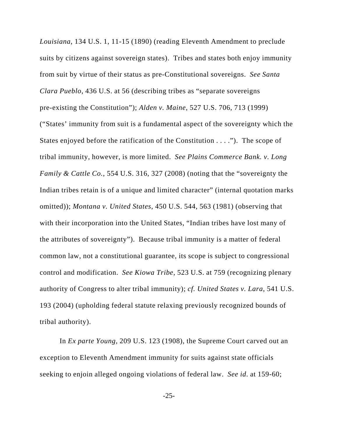*Louisiana*, 134 U.S. 1, 11-15 (1890) (reading Eleventh Amendment to preclude suits by citizens against sovereign states). Tribes and states both enjoy immunity from suit by virtue of their status as pre-Constitutional sovereigns. *See Santa Clara Pueblo*, 436 U.S. at 56 (describing tribes as "separate sovereigns pre-existing the Constitution"); *Alden v. Maine*, 527 U.S. 706, 713 (1999) ("States' immunity from suit is a fundamental aspect of the sovereignty which the States enjoyed before the ratification of the Constitution . . . ."). The scope of tribal immunity, however, is more limited. *See Plains Commerce Bank. v. Long Family & Cattle Co.*, 554 U.S. 316, 327 (2008) (noting that the "sovereignty the Indian tribes retain is of a unique and limited character" (internal quotation marks omitted)); *Montana v. United States*, 450 U.S. 544, 563 (1981) (observing that with their incorporation into the United States, "Indian tribes have lost many of the attributes of sovereignty"). Because tribal immunity is a matter of federal common law, not a constitutional guarantee, its scope is subject to congressional control and modification. *See Kiowa Tribe*, 523 U.S. at 759 (recognizing plenary authority of Congress to alter tribal immunity); *cf. United States v. Lara*, 541 U.S. 193 (2004) (upholding federal statute relaxing previously recognized bounds of tribal authority).

In *Ex parte Young*, 209 U.S. 123 (1908), the Supreme Court carved out an exception to Eleventh Amendment immunity for suits against state officials seeking to enjoin alleged ongoing violations of federal law. *See id*. at 159-60;

-25-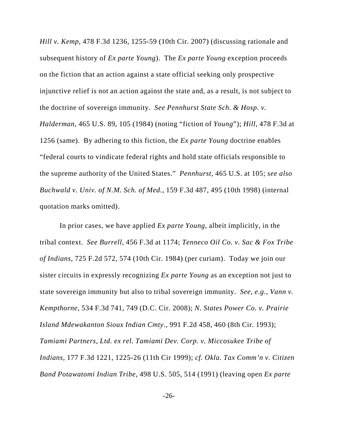*Hill v. Kemp*, 478 F.3d 1236, 1255-59 (10th Cir. 2007) (discussing rationale and subsequent history of *Ex parte Young*). The *Ex parte Young* exception proceeds on the fiction that an action against a state official seeking only prospective injunctive relief is not an action against the state and, as a result, is not subject to the doctrine of sovereign immunity. *See Pennhurst State Sch. & Hosp. v. Halderman*, 465 U.S. 89, 105 (1984) (noting "fiction of *Young*"); *Hill*, 478 F.3d at 1256 (same). By adhering to this fiction, the *Ex parte Young* doctrine enables "federal courts to vindicate federal rights and hold state officials responsible to the supreme authority of the United States." *Pennhurst*, 465 U.S. at 105; *see also Buchwald v. Univ. of N.M. Sch. of Med.*, 159 F.3d 487, 495 (10th 1998) (internal quotation marks omitted).

In prior cases, we have applied *Ex parte Young*, albeit implicitly, in the tribal context. *See Burrell*, 456 F.3d at 1174; *Tenneco Oil Co. v. Sac & Fox Tribe of Indians*, 725 F.2d 572, 574 (10th Cir. 1984) (per curiam). Today we join our sister circuits in expressly recognizing *Ex parte Young* as an exception not just to state sovereign immunity but also to tribal sovereign immunity. *See, e.g.*, *Vann v. Kempthorne*, 534 F.3d 741, 749 (D.C. Cir. 2008); *N. States Power Co. v. Prairie Island Mdewakanton Sioux Indian Cmty.*, 991 F.2d 458, 460 (8th Cir. 1993); *Tamiami Partners, Ltd. ex rel. Tamiami Dev. Corp. v. Miccosukee Tribe of Indians*, 177 F.3d 1221, 1225-26 (11th Cir 1999); *cf. Okla. Tax Comm'n v. Citizen Band Potawatomi Indian Tribe*, 498 U.S. 505, 514 (1991) (leaving open *Ex parte*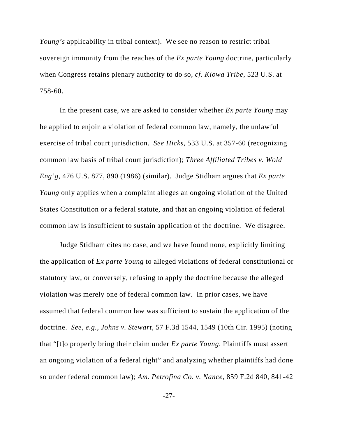*Young's* applicability in tribal context). We see no reason to restrict tribal sovereign immunity from the reaches of the *Ex parte Young* doctrine, particularly when Congress retains plenary authority to do so, *cf. Kiowa Tribe*, 523 U.S. at 758-60.

In the present case, we are asked to consider whether *Ex parte Young* may be applied to enjoin a violation of federal common law, namely, the unlawful exercise of tribal court jurisdiction. *See Hicks*, 533 U.S. at 357-60 (recognizing common law basis of tribal court jurisdiction); *Three Affiliated Tribes v. Wold Eng'g*, 476 U.S. 877, 890 (1986) (similar). Judge Stidham argues that *Ex parte Young* only applies when a complaint alleges an ongoing violation of the United States Constitution or a federal statute, and that an ongoing violation of federal common law is insufficient to sustain application of the doctrine. We disagree.

Judge Stidham cites no case, and we have found none, explicitly limiting the application of *Ex parte Young* to alleged violations of federal constitutional or statutory law, or conversely, refusing to apply the doctrine because the alleged violation was merely one of federal common law. In prior cases, we have assumed that federal common law was sufficient to sustain the application of the doctrine. *See, e.g.*, *Johns v. Stewart*, 57 F.3d 1544, 1549 (10th Cir. 1995) (noting that "[t]o properly bring their claim under *Ex parte Young*, Plaintiffs must assert an ongoing violation of a federal right" and analyzing whether plaintiffs had done so under federal common law); *Am. Petrofina Co. v. Nance*, 859 F.2d 840, 841-42

-27-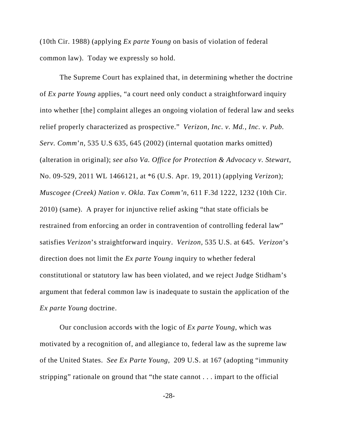(10th Cir. 1988) (applying *Ex parte Young* on basis of violation of federal common law). Today we expressly so hold.

The Supreme Court has explained that, in determining whether the doctrine of *Ex parte Young* applies, "a court need only conduct a straightforward inquiry into whether [the] complaint alleges an ongoing violation of federal law and seeks relief properly characterized as prospective." *Verizon, Inc. v. Md., Inc. v. Pub. Serv. Comm*'*n*, 535 U.S 635, 645 (2002) (internal quotation marks omitted) (alteration in original); *see also Va. Office for Protection & Advocacy v. Stewart*, No. 09-529, 2011 WL 1466121, at \*6 (U.S. Apr. 19, 2011) (applying *Verizon*); *Muscogee (Creek) Nation v. Okla. Tax Comm'n*, 611 F.3d 1222, 1232 (10th Cir. 2010) (same). A prayer for injunctive relief asking "that state officials be restrained from enforcing an order in contravention of controlling federal law" satisfies *Verizon*'s straightforward inquiry. *Verizon,* 535 U.S. at 645. *Verizon*'s direction does not limit the *Ex parte Young* inquiry to whether federal constitutional or statutory law has been violated, and we reject Judge Stidham's argument that federal common law is inadequate to sustain the application of the *Ex parte Young* doctrine.

Our conclusion accords with the logic of *Ex parte Young*, which was motivated by a recognition of, and allegiance to, federal law as the supreme law of the United States. *See Ex Parte Young*, 209 U.S. at 167 (adopting "immunity stripping" rationale on ground that "the state cannot . . . impart to the official

-28-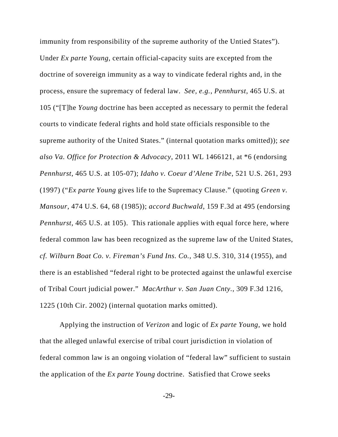immunity from responsibility of the supreme authority of the Untied States"). Under *Ex parte Young*, certain official-capacity suits are excepted from the doctrine of sovereign immunity as a way to vindicate federal rights and, in the process, ensure the supremacy of federal law. *See, e.g.*, *Pennhurst*, 465 U.S. at 105 ("[T]he *Young* doctrine has been accepted as necessary to permit the federal courts to vindicate federal rights and hold state officials responsible to the supreme authority of the United States." (internal quotation marks omitted)); *see also Va. Office for Protection & Advocacy*, 2011 WL 1466121, at \*6 (endorsing *Pennhurst*, 465 U.S. at 105-07); *Idaho v. Coeur d'Alene Tribe*, 521 U.S. 261, 293 (1997) ("*Ex parte Young* gives life to the Supremacy Clause." (quoting *Green v. Mansour*, 474 U.S. 64, 68 (1985)); *accord Buchwald*, 159 F.3d at 495 (endorsing *Pennhurst*, 465 U.S. at 105). This rationale applies with equal force here, where federal common law has been recognized as the supreme law of the United States, *cf. Wilburn Boat Co. v. Fireman's Fund Ins. Co.*, 348 U.S. 310, 314 (1955), and there is an established "federal right to be protected against the unlawful exercise of Tribal Court judicial power." *MacArthur v. San Juan Cnty.*, 309 F.3d 1216, 1225 (10th Cir. 2002) (internal quotation marks omitted).

Applying the instruction of *Verizon* and logic of *Ex parte Young*, we hold that the alleged unlawful exercise of tribal court jurisdiction in violation of federal common law is an ongoing violation of "federal law" sufficient to sustain the application of the *Ex parte Young* doctrine. Satisfied that Crowe seeks

-29-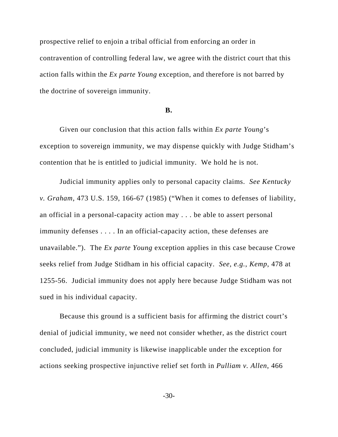prospective relief to enjoin a tribal official from enforcing an order in contravention of controlling federal law, we agree with the district court that this action falls within the *Ex parte Young* exception, and therefore is not barred by the doctrine of sovereign immunity.

#### **B.**

Given our conclusion that this action falls within *Ex parte Young*'s exception to sovereign immunity, we may dispense quickly with Judge Stidham's contention that he is entitled to judicial immunity. We hold he is not.

Judicial immunity applies only to personal capacity claims. *See Kentucky v. Graham*, 473 U.S. 159, 166-67 (1985) ("When it comes to defenses of liability, an official in a personal-capacity action may . . . be able to assert personal immunity defenses . . . . In an official-capacity action, these defenses are unavailable."). The *Ex parte Young* exception applies in this case because Crowe seeks relief from Judge Stidham in his official capacity. *See, e.g.*, *Kemp*, 478 at 1255-56. Judicial immunity does not apply here because Judge Stidham was not sued in his individual capacity.

Because this ground is a sufficient basis for affirming the district court's denial of judicial immunity, we need not consider whether, as the district court concluded, judicial immunity is likewise inapplicable under the exception for actions seeking prospective injunctive relief set forth in *Pulliam v. Allen*, 466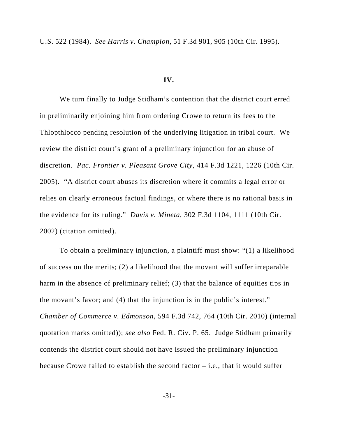U.S. 522 (1984). *See Harris v. Champion*, 51 F.3d 901, 905 (10th Cir. 1995).

## **IV.**

We turn finally to Judge Stidham's contention that the district court erred in preliminarily enjoining him from ordering Crowe to return its fees to the Thlopthlocco pending resolution of the underlying litigation in tribal court. We review the district court's grant of a preliminary injunction for an abuse of discretion. *Pac. Frontier v. Pleasant Grove City*, 414 F.3d 1221, 1226 (10th Cir. 2005). "A district court abuses its discretion where it commits a legal error or relies on clearly erroneous factual findings, or where there is no rational basis in the evidence for its ruling." *Davis v. Mineta*, 302 F.3d 1104, 1111 (10th Cir. 2002) (citation omitted).

To obtain a preliminary injunction, a plaintiff must show: "(1) a likelihood of success on the merits; (2) a likelihood that the movant will suffer irreparable harm in the absence of preliminary relief; (3) that the balance of equities tips in the movant's favor; and (4) that the injunction is in the public's interest." *Chamber of Commerce v. Edmonson*, 594 F.3d 742, 764 (10th Cir. 2010) (internal quotation marks omitted)); *see also* Fed. R. Civ. P. 65. Judge Stidham primarily contends the district court should not have issued the preliminary injunction because Crowe failed to establish the second factor – i.e., that it would suffer

-31-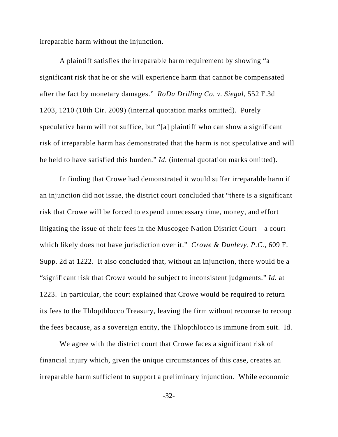irreparable harm without the injunction.

A plaintiff satisfies the irreparable harm requirement by showing "a significant risk that he or she will experience harm that cannot be compensated after the fact by monetary damages." *RoDa Drilling Co. v. Siegal*, 552 F.3d 1203, 1210 (10th Cir. 2009) (internal quotation marks omitted). Purely speculative harm will not suffice, but "[a] plaintiff who can show a significant risk of irreparable harm has demonstrated that the harm is not speculative and will be held to have satisfied this burden." *Id.* (internal quotation marks omitted).

In finding that Crowe had demonstrated it would suffer irreparable harm if an injunction did not issue, the district court concluded that "there is a significant risk that Crowe will be forced to expend unnecessary time, money, and effort litigating the issue of their fees in the Muscogee Nation District Court – a court which likely does not have jurisdiction over it." *Crowe & Dunlevy, P.C.*, 609 F. Supp. 2d at 1222. It also concluded that, without an injunction, there would be a "significant risk that Crowe would be subject to inconsistent judgments." *Id.* at 1223. In particular, the court explained that Crowe would be required to return its fees to the Thlopthlocco Treasury, leaving the firm without recourse to recoup the fees because, as a sovereign entity, the Thlopthlocco is immune from suit. Id.

We agree with the district court that Crowe faces a significant risk of financial injury which, given the unique circumstances of this case, creates an irreparable harm sufficient to support a preliminary injunction. While economic

-32-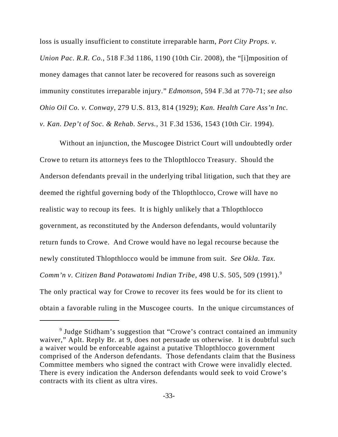loss is usually insufficient to constitute irreparable harm, *Port City Props. v. Union Pac. R.R. Co.*, 518 F.3d 1186, 1190 (10th Cir. 2008), the "[i]mposition of money damages that cannot later be recovered for reasons such as sovereign immunity constitutes irreparable injury." *Edmonson*, 594 F.3d at 770-71; *see also Ohio Oil Co. v. Conway*, 279 U.S. 813, 814 (1929); *Kan. Health Care Ass'n Inc. v. Kan. Dep't of Soc. & Rehab. Servs.*, 31 F.3d 1536, 1543 (10th Cir. 1994).

Without an injunction, the Muscogee District Court will undoubtedly order Crowe to return its attorneys fees to the Thlopthlocco Treasury. Should the Anderson defendants prevail in the underlying tribal litigation, such that they are deemed the rightful governing body of the Thlopthlocco, Crowe will have no realistic way to recoup its fees. It is highly unlikely that a Thlopthlocco government, as reconstituted by the Anderson defendants, would voluntarily return funds to Crowe. And Crowe would have no legal recourse because the newly constituted Thlopthlocco would be immune from suit. *See Okla. Tax. Comm'n v. Citizen Band Potawatomi Indian Tribe*, 498 U.S. 505, 509 (1991).9 The only practical way for Crowe to recover its fees would be for its client to obtain a favorable ruling in the Muscogee courts. In the unique circumstances of

<sup>&</sup>lt;sup>9</sup> Judge Stidham's suggestion that "Crowe's contract contained an immunity waiver," Aplt. Reply Br. at 9, does not persuade us otherwise. It is doubtful such a waiver would be enforceable against a putative Thlopthlocco government comprised of the Anderson defendants. Those defendants claim that the Business Committee members who signed the contract with Crowe were invalidly elected. There is every indication the Anderson defendants would seek to void Crowe's contracts with its client as ultra vires.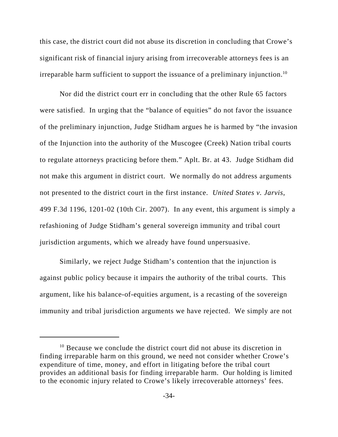this case, the district court did not abuse its discretion in concluding that Crowe's significant risk of financial injury arising from irrecoverable attorneys fees is an irreparable harm sufficient to support the issuance of a preliminary injunction.<sup>10</sup>

Nor did the district court err in concluding that the other Rule 65 factors were satisfied. In urging that the "balance of equities" do not favor the issuance of the preliminary injunction, Judge Stidham argues he is harmed by "the invasion of the Injunction into the authority of the Muscogee (Creek) Nation tribal courts to regulate attorneys practicing before them." Aplt. Br. at 43. Judge Stidham did not make this argument in district court. We normally do not address arguments not presented to the district court in the first instance. *United States v. Jarvis*, 499 F.3d 1196, 1201-02 (10th Cir. 2007). In any event, this argument is simply a refashioning of Judge Stidham's general sovereign immunity and tribal court jurisdiction arguments, which we already have found unpersuasive.

Similarly, we reject Judge Stidham's contention that the injunction is against public policy because it impairs the authority of the tribal courts. This argument, like his balance-of-equities argument, is a recasting of the sovereign immunity and tribal jurisdiction arguments we have rejected. We simply are not

<sup>&</sup>lt;sup>10</sup> Because we conclude the district court did not abuse its discretion in finding irreparable harm on this ground, we need not consider whether Crowe's expenditure of time, money, and effort in litigating before the tribal court provides an additional basis for finding irreparable harm. Our holding is limited to the economic injury related to Crowe's likely irrecoverable attorneys' fees.